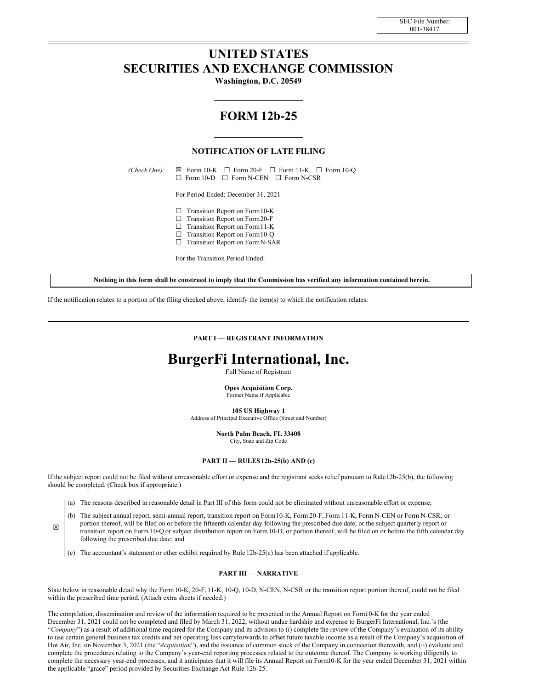## **UNITED STATES SECURITIES AND EXCHANGE COMMISSION**

**Washington, D.C. 20549**

# **FORM 12b-25**

## **NOTIFICATION OF LATE FILING**

 $(Check One): \quad \boxtimes \quad \text{Form } 10-K \quad \Box \quad \text{Form } 20-F \quad \Box \quad \text{Form } 11-K \quad \Box \quad \text{Form } 10-O$ ☐ Form 10-D ☐ Form N-CEN ☐ Form N-CSR

For Period Ended: December 31, 2021

- □ Transition Report on Form 10-K
- ☐ Transition Report on Form20-F
- ☐ Transition Report on Form11-K
- $\Box$  Transition Report on Form 10-Q
- ☐ Transition Report on FormN-SAR

For the Transition Period Ended:

Nothing in this form shall be construed to imply that the Commission has verified any information contained herein.

If the notification relates to a portion of the filing checked above, identify the item(s) to which the notification relates:

**PART I — REGISTRANT INFORMATION**

# **BurgerFi International, Inc.**

Full Name of Registrant

**Opes Acquisition Corp.** Former Name if Applicable

**105 US Highway 1**

Address of Principal Executive Office (Street and Number)

**North Palm Beach, FL 33408** City, State and Zip Code

#### **PART II — RULES12b-25(b) AND (c)**

If the subject report could not be filed without unreasonable effort or expense and the registrant seeks relief pursuant to Rule12b-25(b), the following should be completed. (Check box if appropriate.)

(a) The reasons described in reasonable detail in Part III of this form could not be eliminated without unreasonable effort or expense;

(b) The subject annual report, semi-annual report, transition report on Form10-K, Form 20-F, Form 11-K, Form N-CEN or Form N-CSR, or portion thereof, will be filed on or before the fifteenth calendar day following the prescribed due date; or the subject quarterly report or transition report on Form 10-Q or subject distribution report on Form10-D, or portion thereof, will be filed on or before the fifth calendar day following the prescribed due date; and

(c) The accountant's statement or other exhibit required by Rule 12b-25(c) has been attached if applicable.

☒

#### **PART III — NARRATIVE**

State below in reasonable detail why the Form10-K, 20-F, 11-K, 10-Q, 10-D, N-CEN, N-CSR or the transition report portion thereof, could not be filed within the prescribed time period. (Attach extra sheets if needed.)

The compilation, dissemination and review of the information required to be presented in the Annual Report on Form10-K for the year ended December 31, 2021 could not be completed and filed by March 31, 2022, without undue hardship and expense to BurgerFi International, Inc.'s (the "*Company*") as a result of additional time required for the Company and its advisors to (i) complete the review of the Company's evaluation of its ability to use certain general business tax credits and net operating loss carryforwards to offset future taxable income as a result of the Company's acquisition of Hot Air, Inc. on November 3, 2021 (the "*Acquisition*"), and the issuance of common stock of the Company in connection therewith, and (ii) evaluate and complete the procedures relating to the Company's year-end reporting processes related to the outcome thereof. The Company is working diligently to complete the necessary year-end processes, and it anticipates that it will file its Annual Report on Form10-K for the year ended December 31, 2021 within the applicable "grace" period provided by Securities Exchange Act Rule 12b-25.